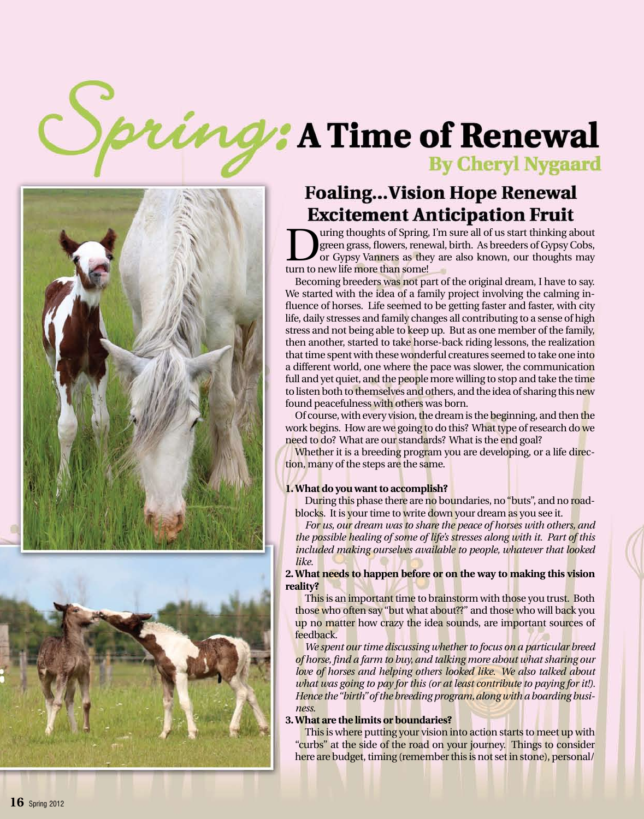# nd: A Time of Renewal **By Cheryl Nygaard**





# **Foaling...Vision Hope Renewal Excitement Anticipation Fruit**

uring thoughts of Spring, I'm sure all of us start thinking about green grass, flowers, renewal, birth. As breeders of Gypsy Cobs, or Gypsy Vanners as they are also known, our thoughts may turn to new life more than some!

Becoming breeders was not part of the original dream, I have to say. We started with the idea of a family project involving the calming in fluence of horses. Life seemed to be getting faster and faster, with city life, daily stresses and family changes all contributing to a sense of high stress and not being able to keep up. But as one member of the family, then another, started to take horse-back riding lessons, the realization that time spent with these wonderful creatures seemed to take one into a different world, one where the pace was slower, the communication full and yet quiet, and the people more willing to stop and take the time to listen both to themselves and others, and the idea of sharing this new found peacefulness with others was born.

Of course, with every vision, the dream is the beginning, and then the work begins. How are we going to do this? What type of research do we need to do? What are our standards? What is the end goal?

Whether it is a breeding program you are developing, or a life direction, many of the steps are the same.

# **1.What do you want to accomplish?**

Du<mark>r</mark>ing this phase there are no boundaries, no "buts", and no roadblocks. It is your time to write down your dream as you see it.

 *For us, our dream was to share the peace of horses with others, and the possible healing of some of life's stresses along with it. Part of this included making ourselves available to people, whatever that looked like.* 

**2.What needs to happen before or on the way to making this vision reality?**

This is an important time to brainstorm with those you trust. Both those who often say "but what about??" and those who will back you up no matter how crazy the idea sounds, are important sources of feedback.

 *We spent our time discussing whether to focus on a particular breed of horse,find a farm to buy, and talking more about whatsharing our love of horses and helping others looked like. We also talked about what was going to pay for this (or at least contribute to paying for it!). Hence the"birth"ofthe breedingprogram,alongwith a boarding busi ness.*

# **3.What are the limits or boundaries?**

This is where putting your vision into action starts to meet up with "curbs" at the side of the road on your journey. Things to consider here are budget, timing (remember this is not set in stone), personal/